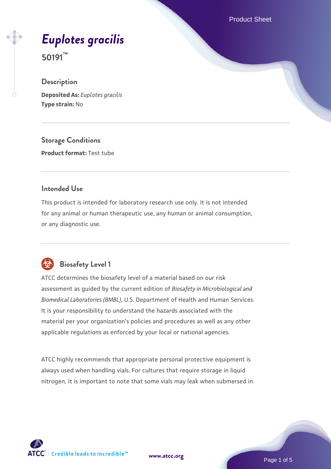Product Sheet

# *[Euplotes gracilis](https://www.atcc.org/products/50191)*

**50191™**

# **Description**

**Deposited As:** *Euplotes gracilis* **Type strain:** No

**Storage Conditions Product format:** Test tube

#### **Intended Use**

This product is intended for laboratory research use only. It is not intended for any animal or human therapeutic use, any human or animal consumption, or any diagnostic use.



# **Biosafety Level 1**

ATCC determines the biosafety level of a material based on our risk assessment as guided by the current edition of *Biosafety in Microbiological and Biomedical Laboratories (BMBL)*, U.S. Department of Health and Human Services. It is your responsibility to understand the hazards associated with the material per your organization's policies and procedures as well as any other applicable regulations as enforced by your local or national agencies.

ATCC highly recommends that appropriate personal protective equipment is always used when handling vials. For cultures that require storage in liquid nitrogen, it is important to note that some vials may leak when submersed in

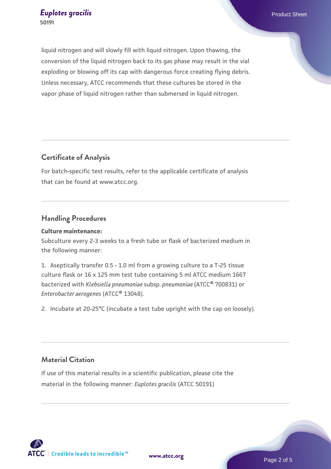liquid nitrogen and will slowly fill with liquid nitrogen. Upon thawing, the conversion of the liquid nitrogen back to its gas phase may result in the vial exploding or blowing off its cap with dangerous force creating flying debris. Unless necessary, ATCC recommends that these cultures be stored in the vapor phase of liquid nitrogen rather than submersed in liquid nitrogen.

# **Certificate of Analysis**

For batch-specific test results, refer to the applicable certificate of analysis that can be found at www.atcc.org.

## **Handling Procedures**

#### **Culture maintenance:**

Subculture every 2-3 weeks to a fresh tube or flask of bacterized medium in the following manner:

1. Aseptically transfer 0.5 - 1.0 ml from a growing culture to a T-25 tissue culture flask or 16 x 125 mm test tube containing 5 ml ATCC medium 1667 bacterized with *Klebsiella pneumoniae* subsp. *pneumoniae* (ATCC® 700831) or *Enterobacter aerogenes* (ATCC® 13048).

2. Incubate at 20-25°C (incubate a test tube upright with the cap on loosely).

# **Material Citation**

If use of this material results in a scientific publication, please cite the material in the following manner: *Euplotes gracilis* (ATCC 50191)



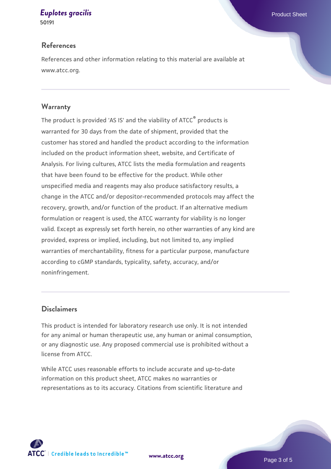# **[Euplotes gracilis](https://www.atcc.org/products/50191) Euplotes gracilis Euplotes gracilis Product Sheet**

**50191**

#### **References**

References and other information relating to this material are available at www.atcc.org.

#### **Warranty**

The product is provided 'AS IS' and the viability of ATCC® products is warranted for 30 days from the date of shipment, provided that the customer has stored and handled the product according to the information included on the product information sheet, website, and Certificate of Analysis. For living cultures, ATCC lists the media formulation and reagents that have been found to be effective for the product. While other unspecified media and reagents may also produce satisfactory results, a change in the ATCC and/or depositor-recommended protocols may affect the recovery, growth, and/or function of the product. If an alternative medium formulation or reagent is used, the ATCC warranty for viability is no longer valid. Except as expressly set forth herein, no other warranties of any kind are provided, express or implied, including, but not limited to, any implied warranties of merchantability, fitness for a particular purpose, manufacture according to cGMP standards, typicality, safety, accuracy, and/or noninfringement.

## **Disclaimers**

This product is intended for laboratory research use only. It is not intended for any animal or human therapeutic use, any human or animal consumption, or any diagnostic use. Any proposed commercial use is prohibited without a license from ATCC.

While ATCC uses reasonable efforts to include accurate and up-to-date information on this product sheet, ATCC makes no warranties or representations as to its accuracy. Citations from scientific literature and

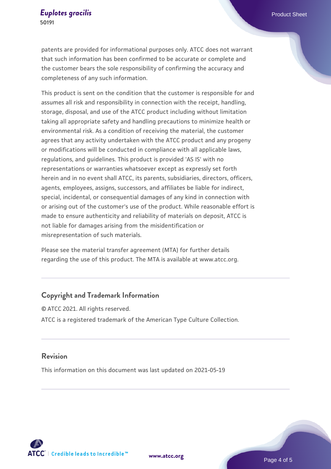patents are provided for informational purposes only. ATCC does not warrant that such information has been confirmed to be accurate or complete and the customer bears the sole responsibility of confirming the accuracy and completeness of any such information.

This product is sent on the condition that the customer is responsible for and assumes all risk and responsibility in connection with the receipt, handling, storage, disposal, and use of the ATCC product including without limitation taking all appropriate safety and handling precautions to minimize health or environmental risk. As a condition of receiving the material, the customer agrees that any activity undertaken with the ATCC product and any progeny or modifications will be conducted in compliance with all applicable laws, regulations, and guidelines. This product is provided 'AS IS' with no representations or warranties whatsoever except as expressly set forth herein and in no event shall ATCC, its parents, subsidiaries, directors, officers, agents, employees, assigns, successors, and affiliates be liable for indirect, special, incidental, or consequential damages of any kind in connection with or arising out of the customer's use of the product. While reasonable effort is made to ensure authenticity and reliability of materials on deposit, ATCC is not liable for damages arising from the misidentification or misrepresentation of such materials.

Please see the material transfer agreement (MTA) for further details regarding the use of this product. The MTA is available at www.atcc.org.

#### **Copyright and Trademark Information**

© ATCC 2021. All rights reserved. ATCC is a registered trademark of the American Type Culture Collection.

#### **Revision**

This information on this document was last updated on 2021-05-19